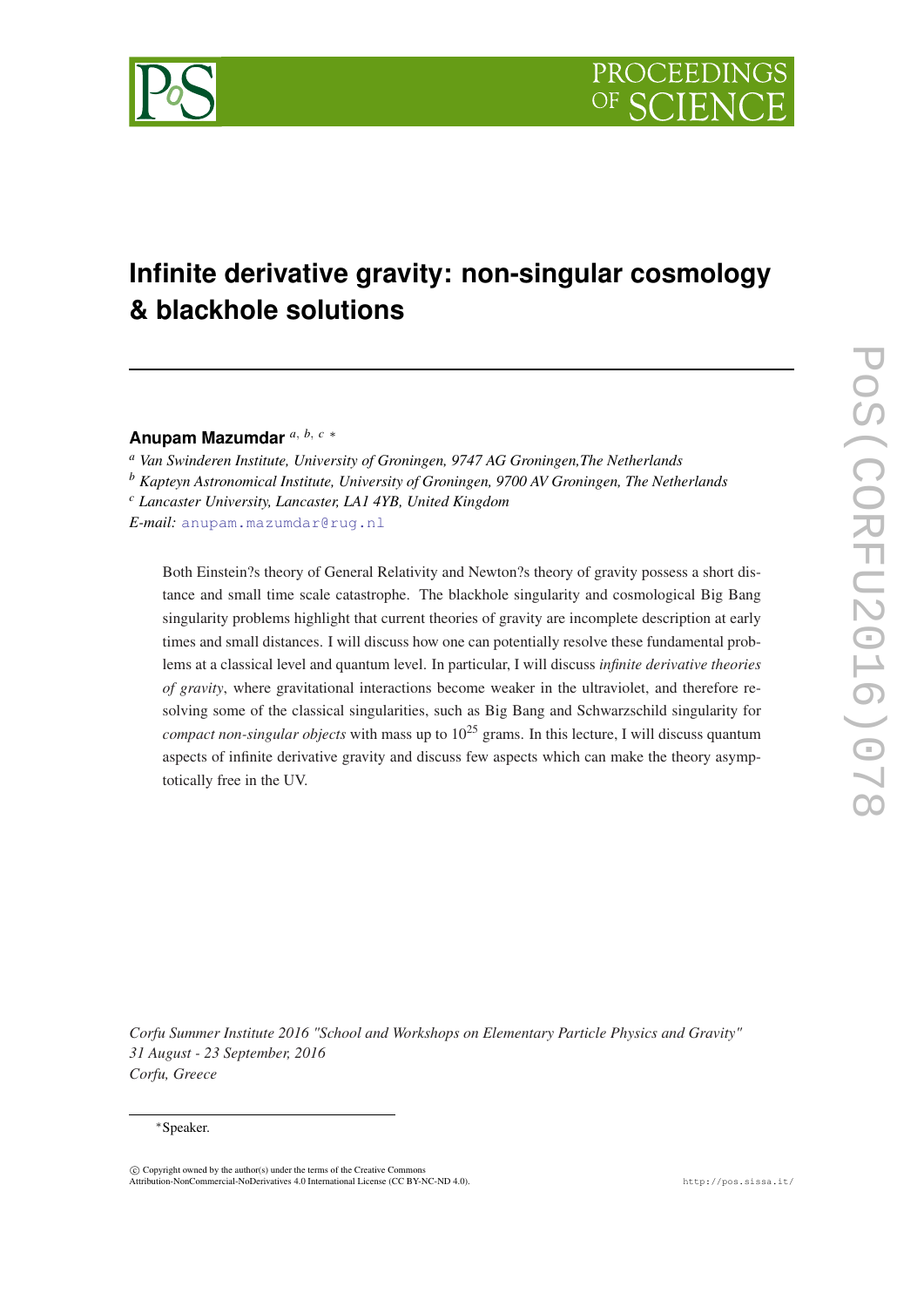

# **Infinite derivative gravity: non-singular cosmology & blackhole solutions**

**Anupam Mazumdar** *<sup>a</sup>*, *<sup>b</sup>*, *<sup>c</sup>* <sup>∗</sup>

*<sup>a</sup> Van Swinderen Institute, University of Groningen, 9747 AG Groningen,The Netherlands*

*<sup>b</sup> Kapteyn Astronomical Institute, University of Groningen, 9700 AV Groningen, The Netherlands*

*<sup>c</sup> Lancaster University, Lancaster, LA1 4YB, United Kingdom*

*E-mail:* [anupam.mazumdar@rug.nl](mailto:anupam.mazumdar@rug.nl)

Both Einstein?s theory of General Relativity and Newton?s theory of gravity possess a short distance and small time scale catastrophe. The blackhole singularity and cosmological Big Bang singularity problems highlight that current theories of gravity are incomplete description at early times and small distances. I will discuss how one can potentially resolve these fundamental problems at a classical level and quantum level. In particular, I will discuss *infinite derivative theories of gravity*, where gravitational interactions become weaker in the ultraviolet, and therefore resolving some of the classical singularities, such as Big Bang and Schwarzschild singularity for *compact non-singular objects* with mass up to  $10^{25}$  grams. In this lecture, I will discuss quantum aspects of infinite derivative gravity and discuss few aspects which can make the theory asymptotically free in the UV.

*Corfu Summer Institute 2016 "School and Workshops on Elementary Particle Physics and Gravity" 31 August - 23 September, 2016 Corfu, Greece*

#### <sup>∗</sup>Speaker.

 $\overline{c}$  Copyright owned by the author(s) under the terms of the Creative Common Attribution-NonCommercial-NoDerivatives 4.0 International License (CC BY-NC-ND 4.0). http://pos.sissa.it/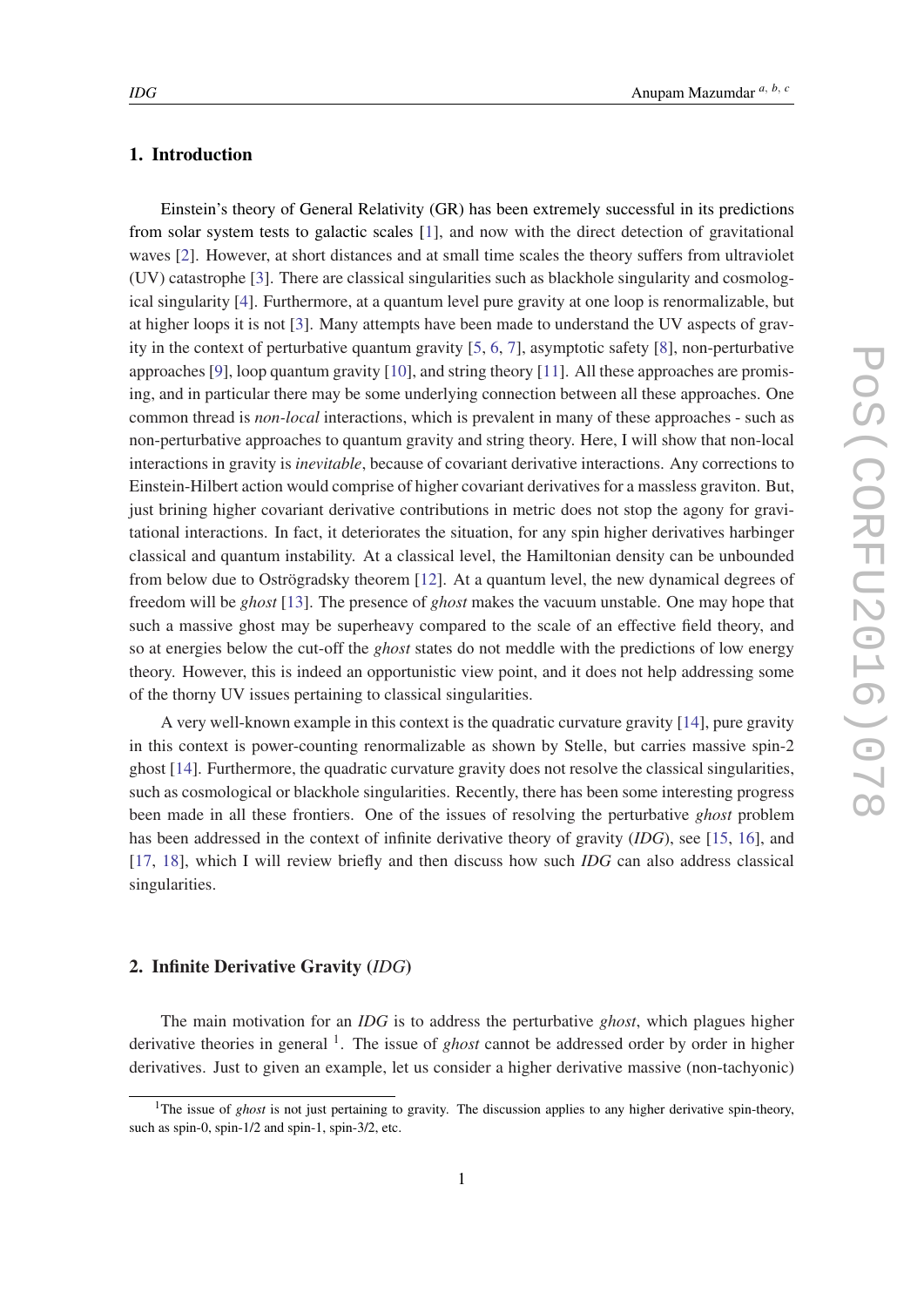## 1. Introduction

Einstein's theory of General Relativity (GR) has been extremely successful in its predictions from solar system tests to galactic scales [[1](#page-12-0)], and now with the direct detection of gravitational waves [[2](#page-12-0)]. However, at short distances and at small time scales the theory suffers from ultraviolet (UV) catastrophe [[3](#page-12-0)]. There are classical singularities such as blackhole singularity and cosmological singularity [[4](#page-12-0)]. Furthermore, at a quantum level pure gravity at one loop is renormalizable, but at higher loops it is not [\[3\]](#page-12-0). Many attempts have been made to understand the UV aspects of gravity in the context of perturbative quantum gravity [\[5,](#page-12-0) [6,](#page-12-0) [7\]](#page-12-0), asymptotic safety [[8](#page-12-0)], non-perturbative approaches [\[9\]](#page-13-0), loop quantum gravity [\[10](#page-13-0)], and string theory [[11\]](#page-13-0). All these approaches are promising, and in particular there may be some underlying connection between all these approaches. One common thread is *non-local* interactions, which is prevalent in many of these approaches - such as non-perturbative approaches to quantum gravity and string theory. Here, I will show that non-local interactions in gravity is *inevitable*, because of covariant derivative interactions. Any corrections to Einstein-Hilbert action would comprise of higher covariant derivatives for a massless graviton. But, just brining higher covariant derivative contributions in metric does not stop the agony for gravitational interactions. In fact, it deteriorates the situation, for any spin higher derivatives harbinger classical and quantum instability. At a classical level, the Hamiltonian density can be unbounded from below due to Oströgradsky theorem [[12\]](#page-13-0). At a quantum level, the new dynamical degrees of freedom will be *ghost* [[13\]](#page-13-0). The presence of *ghost* makes the vacuum unstable. One may hope that such a massive ghost may be superheavy compared to the scale of an effective field theory, and so at energies below the cut-off the *ghost* states do not meddle with the predictions of low energy theory. However, this is indeed an opportunistic view point, and it does not help addressing some of the thorny UV issues pertaining to classical singularities.

A very well-known example in this context is the quadratic curvature gravity [[14\]](#page-13-0), pure gravity in this context is power-counting renormalizable as shown by Stelle, but carries massive spin-2 ghost [[14\]](#page-13-0). Furthermore, the quadratic curvature gravity does not resolve the classical singularities, such as cosmological or blackhole singularities. Recently, there has been some interesting progress been made in all these frontiers. One of the issues of resolving the perturbative *ghost* problem has been addressed in the context of infinite derivative theory of gravity (*IDG*), see [[15](#page-13-0), [16](#page-13-0)], and [[17,](#page-13-0) [18](#page-13-0)], which I will review briefly and then discuss how such *IDG* can also address classical singularities.

# 2. Infinite Derivative Gravity (*IDG*)

The main motivation for an *IDG* is to address the perturbative *ghost*, which plagues higher derivative theories in general <sup>1</sup>. The issue of *ghost* cannot be addressed order by order in higher derivatives. Just to given an example, let us consider a higher derivative massive (non-tachyonic)

<sup>&</sup>lt;sup>1</sup>The issue of *ghost* is not just pertaining to gravity. The discussion applies to any higher derivative spin-theory, such as spin-0, spin-1/2 and spin-1, spin-3/2, etc.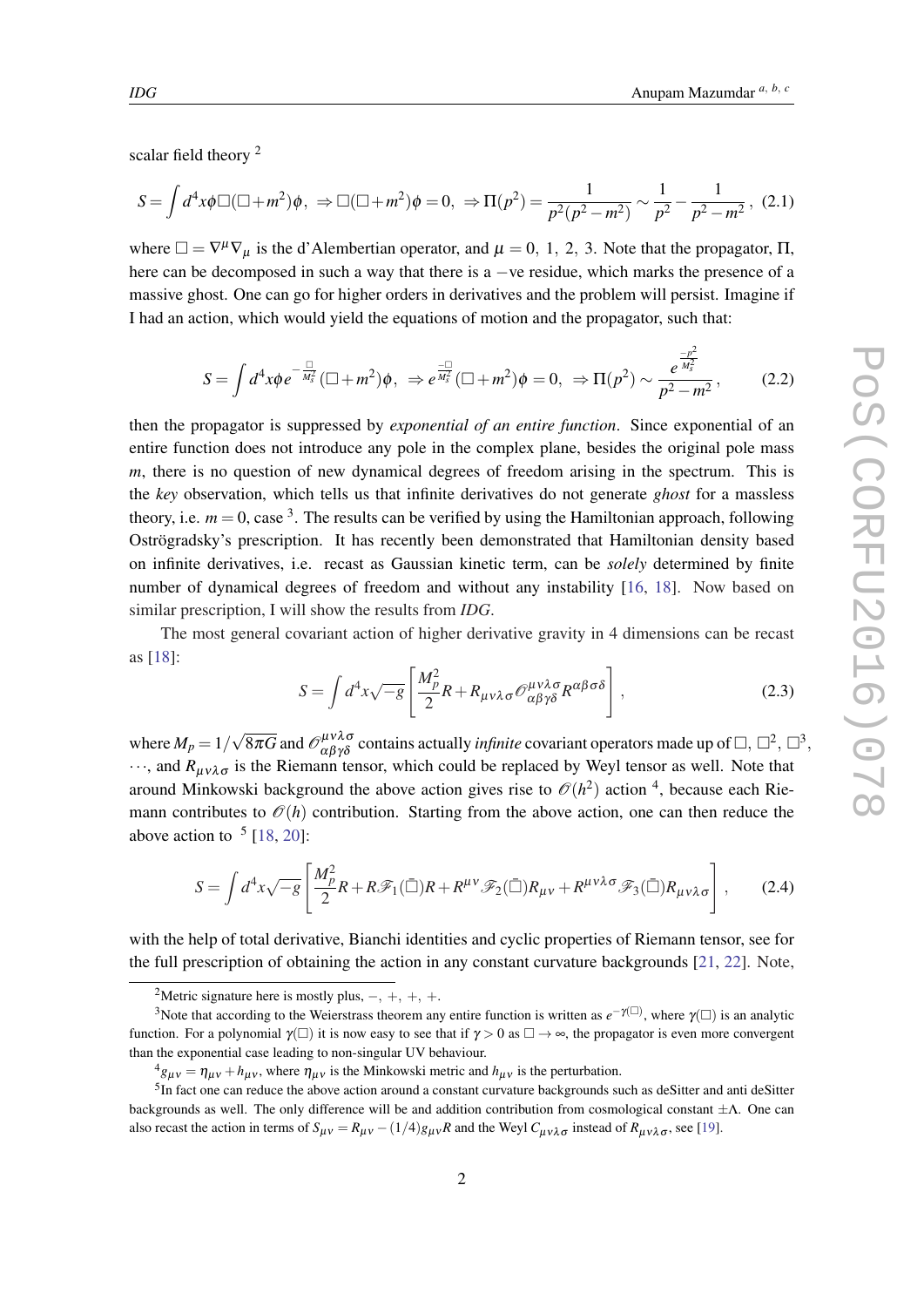<span id="page-2-0"></span>scalar field theory <sup>2</sup>

$$
S = \int d^4x \phi \Box (\Box + m^2) \phi, \Rightarrow \Box (\Box + m^2) \phi = 0, \Rightarrow \Pi(p^2) = \frac{1}{p^2(p^2 - m^2)} \sim \frac{1}{p^2} - \frac{1}{p^2 - m^2}, \tag{2.1}
$$

where  $\Box = \nabla^{\mu} \nabla_{\mu}$  is the d'Alembertian operator, and  $\mu = 0, 1, 2, 3$ . Note that the propagator,  $\Pi$ , here can be decomposed in such a way that there is a −ve residue, which marks the presence of a massive ghost. One can go for higher orders in derivatives and the problem will persist. Imagine if I had an action, which would yield the equations of motion and the propagator, such that:

$$
S = \int d^4x \phi e^{-\frac{u}{M_s^2}} (\Box + m^2) \phi, \ \ \Rightarrow e^{\frac{-u}{M_s^2}} (\Box + m^2) \phi = 0, \ \ \Rightarrow \Pi(p^2) \sim \frac{e^{\frac{-p^2}{M_s^2}}}{p^2 - m^2}, \tag{2.2}
$$

then the propagator is suppressed by *exponential of an entire function*. Since exponential of an entire function does not introduce any pole in the complex plane, besides the original pole mass *m*, there is no question of new dynamical degrees of freedom arising in the spectrum. This is the *key* observation, which tells us that infinite derivatives do not generate *ghost* for a massless theory, i.e.  $m = 0$ , case <sup>3</sup>. The results can be verified by using the Hamiltonian approach, following Oströgradsky's prescription. It has recently been demonstrated that Hamiltonian density based on infinite derivatives, i.e. recast as Gaussian kinetic term, can be *solely* determined by finite number of dynamical degrees of freedom and without any instability [[16,](#page-13-0) [18\]](#page-13-0). Now based on similar prescription, I will show the results from *IDG*.

The most general covariant action of higher derivative gravity in 4 dimensions can be recast as [[18\]](#page-13-0):

$$
S = \int d^4x \sqrt{-g} \left[ \frac{M_p^2}{2} R + R_{\mu\nu\lambda\sigma} \mathcal{O}^{\mu\nu\lambda\sigma}_{\alpha\beta\gamma\delta} R^{\alpha\beta\sigma\delta} \right],
$$
 (2.3)

where  $M_p = 1/$ √  $\overline{8\pi G}$  and  $\mathcal{O}^{\mu\nu\lambda\sigma}_{\alpha\beta\gamma\delta}$  contains actually *infinite* covariant operators made up of  $\Box, \Box^2, \Box^3,$  $\cdots$ , and  $R_{\mu\nu\lambda\sigma}$  is the Riemann tensor, which could be replaced by Weyl tensor as well. Note that around Minkowski background the above action gives rise to  $\mathcal{O}(h^2)$  action <sup>4</sup>, because each Riemann contributes to  $\mathcal{O}(h)$  contribution. Starting from the above action, one can then reduce the above action to  $\frac{5}{18}$ , [20](#page-13-0)]:

$$
S = \int d^4x \sqrt{-g} \left[ \frac{M_p^2}{2} R + R \mathscr{F}_1(\bar{\Box}) R + R^{\mu\nu} \mathscr{F}_2(\bar{\Box}) R_{\mu\nu} + R^{\mu\nu\lambda\sigma} \mathscr{F}_3(\bar{\Box}) R_{\mu\nu\lambda\sigma} \right],
$$
 (2.4)

with the help of total derivative, Bianchi identities and cyclic properties of Riemann tensor, see for the full prescription of obtaining the action in any constant curvature backgrounds [\[21](#page-13-0), [22\]](#page-13-0). Note,

<sup>&</sup>lt;sup>2</sup>Metric signature here is mostly plus,  $-, +, +, +$ .

<sup>&</sup>lt;sup>3</sup>Note that according to the Weierstrass theorem any entire function is written as  $e^{-\gamma(\Box)}$ , where  $\gamma(\Box)$  is an analytic function. For a polynomial  $\gamma(\square)$  it is now easy to see that if  $\gamma > 0$  as  $\square \to \infty$ , the propagator is even more convergent than the exponential case leading to non-singular UV behaviour.

 $^{4}g_{\mu\nu} = \eta_{\mu\nu} + h_{\mu\nu}$ , where  $\eta_{\mu\nu}$  is the Minkowski metric and  $h_{\mu\nu}$  is the perturbation.

<sup>&</sup>lt;sup>5</sup>In fact one can reduce the above action around a constant curvature backgrounds such as deSitter and anti deSitter backgrounds as well. The only difference will be and addition contribution from cosmological constant ±Λ. One can also recast the action in terms of  $S_{\mu\nu} = R_{\mu\nu} - (1/4)g_{\mu\nu}R$  and the Weyl  $C_{\mu\nu\lambda\sigma}$  instead of  $R_{\mu\nu\lambda\sigma}$ , see [\[19](#page-13-0)].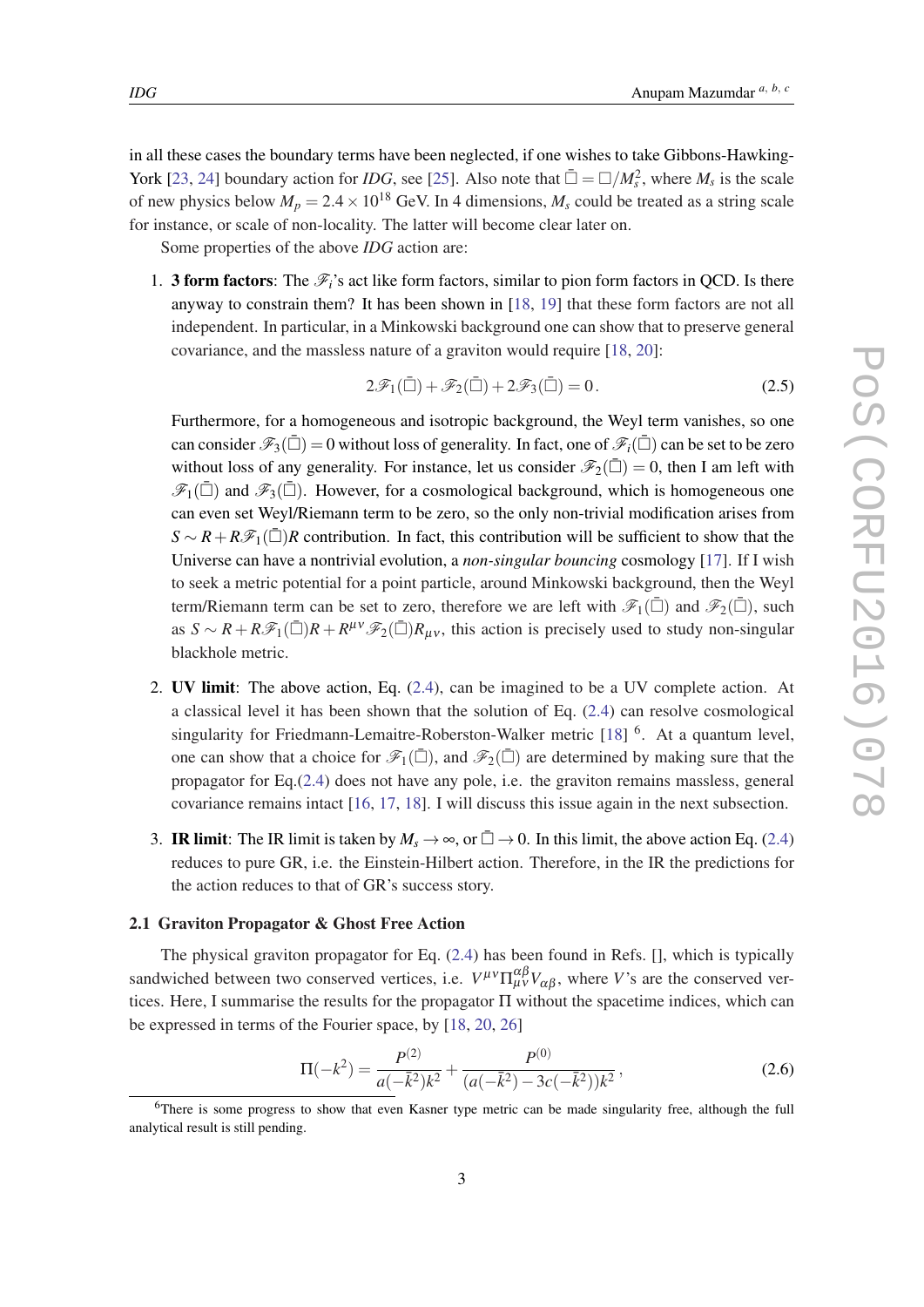<span id="page-3-0"></span>in all these cases the boundary terms have been neglected, if one wishes to take Gibbons-Hawking-York [[23,](#page-13-0) [24](#page-13-0)] boundary action for *IDG*, see [[25\]](#page-13-0). Also note that  $\bar{\Box} = \Box / M_s^2$ , where  $M_s$  is the scale of new physics below  $M_p = 2.4 \times 10^{18}$  GeV. In 4 dimensions,  $M_s$  could be treated as a string scale for instance, or scale of non-locality. The latter will become clear later on.

Some properties of the above *IDG* action are:

1. **3 form factors**: The  $\mathcal{F}_i$ 's act like form factors, similar to pion form factors in OCD. Is there anyway to constrain them? It has been shown in [[18,](#page-13-0) [19\]](#page-13-0) that these form factors are not all independent. In particular, in a Minkowski background one can show that to preserve general covariance, and the massless nature of a graviton would require [[18](#page-13-0), [20\]](#page-13-0):

$$
2\mathcal{F}_1(\bar{\Box}) + \mathcal{F}_2(\bar{\Box}) + 2\mathcal{F}_3(\bar{\Box}) = 0.
$$
 (2.5)

Furthermore, for a homogeneous and isotropic background, the Weyl term vanishes, so one can consider  $\mathscr{F}_3(\bar{\Box}) = 0$  without loss of generality. In fact, one of  $\mathscr{F}_i(\bar{\Box})$  can be set to be zero without loss of any generality. For instance, let us consider  $\mathscr{F}_2(\bar{\Box}) = 0$ , then I am left with  $\mathscr{F}_1(\bar{\Box})$  and  $\mathscr{F}_3(\bar{\Box})$ . However, for a cosmological background, which is homogeneous one can even set Weyl/Riemann term to be zero, so the only non-trivial modification arises from  $S \sim R + R\mathscr{F}_1(\bar{\Box})R$  contribution. In fact, this contribution will be sufficient to show that the Universe can have a nontrivial evolution, a *non-singular bouncing* cosmology [[17\]](#page-13-0). If I wish to seek a metric potential for a point particle, around Minkowski background, then the Weyl term/Riemann term can be set to zero, therefore we are left with  $\mathscr{F}_1(\bar{\Box})$  and  $\mathscr{F}_2(\bar{\Box})$ , such as  $S \sim R + R \mathcal{F}_1(\bar{\Box})R + R^{\mu\nu}\mathcal{F}_2(\bar{\Box})R_{\mu\nu}$ , this action is precisely used to study non-singular blackhole metric.

- 2. UV limit: The above action, Eq. ([2.4\)](#page-2-0), can be imagined to be a UV complete action. At a classical level it has been shown that the solution of Eq. ([2.4\)](#page-2-0) can resolve cosmological singularity for Friedmann-Lemaitre-Roberston-Walker metric [\[18](#page-13-0)] <sup>6</sup>. At a quantum level, one can show that a choice for  $\mathscr{F}_1(\bar{\Box})$ , and  $\mathscr{F}_2(\bar{\Box})$  are determined by making sure that the propagator for Eq.[\(2.4\)](#page-2-0) does not have any pole, i.e. the graviton remains massless, general covariance remains intact [[16,](#page-13-0) [17](#page-13-0), [18](#page-13-0)]. I will discuss this issue again in the next subsection.
- 3. **IR limit**: The IR limit is taken by  $M_s \to \infty$ , or  $\bar{\Box} \to 0$ . In this limit, the above action Eq. ([2.4](#page-2-0)) reduces to pure GR, i.e. the Einstein-Hilbert action. Therefore, in the IR the predictions for the action reduces to that of GR's success story.

#### 2.1 Graviton Propagator & Ghost Free Action

The physical graviton propagator for Eq. [\(2.4\)](#page-2-0) has been found in Refs. [], which is typically sandwiched between two conserved vertices, i.e.  $V^{\mu\nu} \Pi^{\alpha\beta}_{\mu\nu} V_{\alpha\beta}$ , where *V*'s are the conserved vertices. Here, I summarise the results for the propagator  $\Pi$  without the spacetime indices, which can be expressed in terms of the Fourier space, by [[18,](#page-13-0) [20,](#page-13-0) [26](#page-13-0)]

$$
\Pi(-k^2) = \frac{P^{(2)}}{a(-\bar{k}^2)k^2} + \frac{P^{(0)}}{(a(-\bar{k}^2) - 3c(-\bar{k}^2))k^2},
$$
\n(2.6)

<sup>6</sup>There is some progress to show that even Kasner type metric can be made singularity free, although the full analytical result is still pending.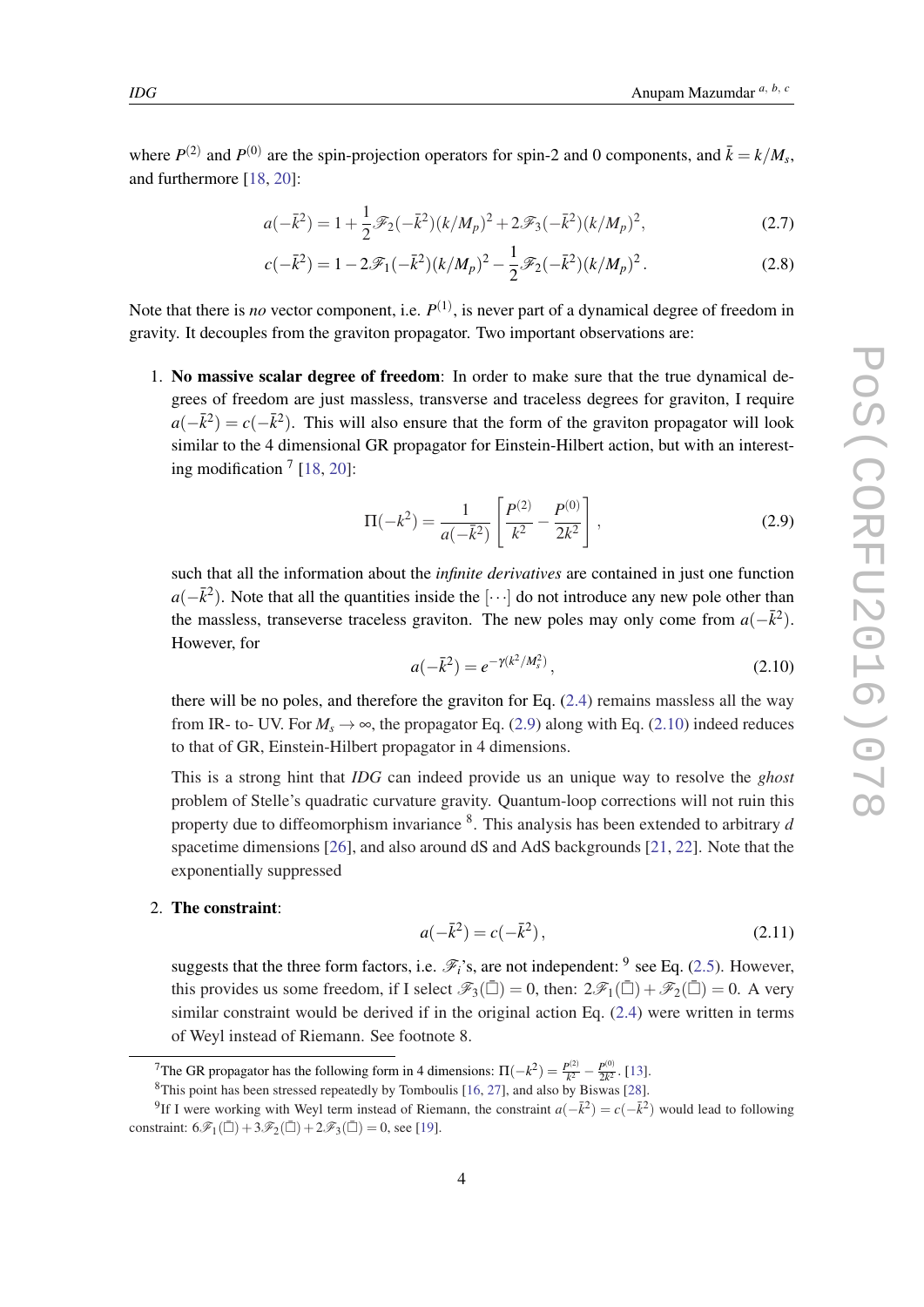<span id="page-4-0"></span>where  $P^{(2)}$  and  $P^{(0)}$  are the spin-projection operators for spin-2 and 0 components, and  $\bar{k} = k/M_s$ , and furthermore [\[18](#page-13-0), [20\]](#page-13-0):

$$
a(-\bar{k}^2) = 1 + \frac{1}{2}\mathcal{F}_2(-\bar{k}^2)(k/M_p)^2 + 2\mathcal{F}_3(-\bar{k}^2)(k/M_p)^2,
$$
\n(2.7)

$$
c(-\bar{k}^2) = 1 - 2\mathcal{F}_1(-\bar{k}^2)(k/M_p)^2 - \frac{1}{2}\mathcal{F}_2(-\bar{k}^2)(k/M_p)^2.
$$
 (2.8)

Note that there is *no* vector component, i.e.  $P^{(1)}$ , is never part of a dynamical degree of freedom in gravity. It decouples from the graviton propagator. Two important observations are:

1. No massive scalar degree of freedom: In order to make sure that the true dynamical degrees of freedom are just massless, transverse and traceless degrees for graviton, I require  $a(-\bar{k}^2) = c(-\bar{k}^2)$ . This will also ensure that the form of the graviton propagator will look similar to the 4 dimensional GR propagator for Einstein-Hilbert action, but with an interest-ing modification<sup>7</sup> [[18,](#page-13-0) [20](#page-13-0)]:

$$
\Pi(-k^2) = \frac{1}{a(-\bar{k}^2)} \left[ \frac{P^{(2)}}{k^2} - \frac{P^{(0)}}{2k^2} \right],
$$
\n(2.9)

such that all the information about the *infinite derivatives* are contained in just one function  $a(-\bar{k}^2)$ . Note that all the quantities inside the [···] do not introduce any new pole other than the massless, transeverse traceless graviton. The new poles may only come from  $a(-\bar{k}^2)$ . However, for

$$
a(-\bar{k}^2) = e^{-\gamma(k^2/M_s^2)},\tag{2.10}
$$

there will be no poles, and therefore the graviton for Eq. ([2.4](#page-2-0)) remains massless all the way from IR- to- UV. For  $M_s \rightarrow \infty$ , the propagator Eq. (2.9) along with Eq. (2.10) indeed reduces to that of GR, Einstein-Hilbert propagator in 4 dimensions.

This is a strong hint that *IDG* can indeed provide us an unique way to resolve the *ghost* problem of Stelle's quadratic curvature gravity. Quantum-loop corrections will not ruin this property due to diffeomorphism invariance <sup>8</sup> . This analysis has been extended to arbitrary *d* spacetime dimensions [\[26](#page-13-0)], and also around dS and AdS backgrounds [\[21](#page-13-0), [22](#page-13-0)]. Note that the exponentially suppressed

#### 2. The constraint:

$$
a(-\bar{k}^2) = c(-\bar{k}^2),\tag{2.11}
$$

suggests that the three form factors, i.e.  $\mathscr{F}_i$ 's, are not independent: <sup>9</sup> see Eq. [\(2.5\)](#page-3-0). However, this provides us some freedom, if I select  $\mathscr{F}_3(\bar{\Box}) = 0$ , then:  $2\mathscr{F}_1(\bar{\Box}) + \mathscr{F}_2(\bar{\Box}) = 0$ . A very similar constraint would be derived if in the original action Eq. ([2.4](#page-2-0)) were written in terms of Weyl instead of Riemann. See footnote 8.

<sup>&</sup>lt;sup>7</sup>The GR propagator has the following form in 4 dimensions:  $\Pi(-k^2) = \frac{P^{(2)}}{k^2}$  $\frac{P^{(2)}}{k^2} - \frac{P^{(0)}}{2k^2}$  $\frac{P^{(0)}}{2k^2}$ . [[13\]](#page-13-0).

<sup>8</sup>This point has been stressed repeatedly by Tomboulis [[16,](#page-13-0) [27](#page-13-0)], and also by Biswas [[28\]](#page-13-0).

<sup>&</sup>lt;sup>9</sup>If I were working with Weyl term instead of Riemann, the constraint  $a(-\bar{k}^2) = c(-\bar{k}^2)$  would lead to following constraint:  $6\mathcal{F}_1(\bar{\Box}) + 3\mathcal{F}_2(\bar{\Box}) + 2\mathcal{F}_3(\bar{\Box}) = 0$ , see [[19\]](#page-13-0).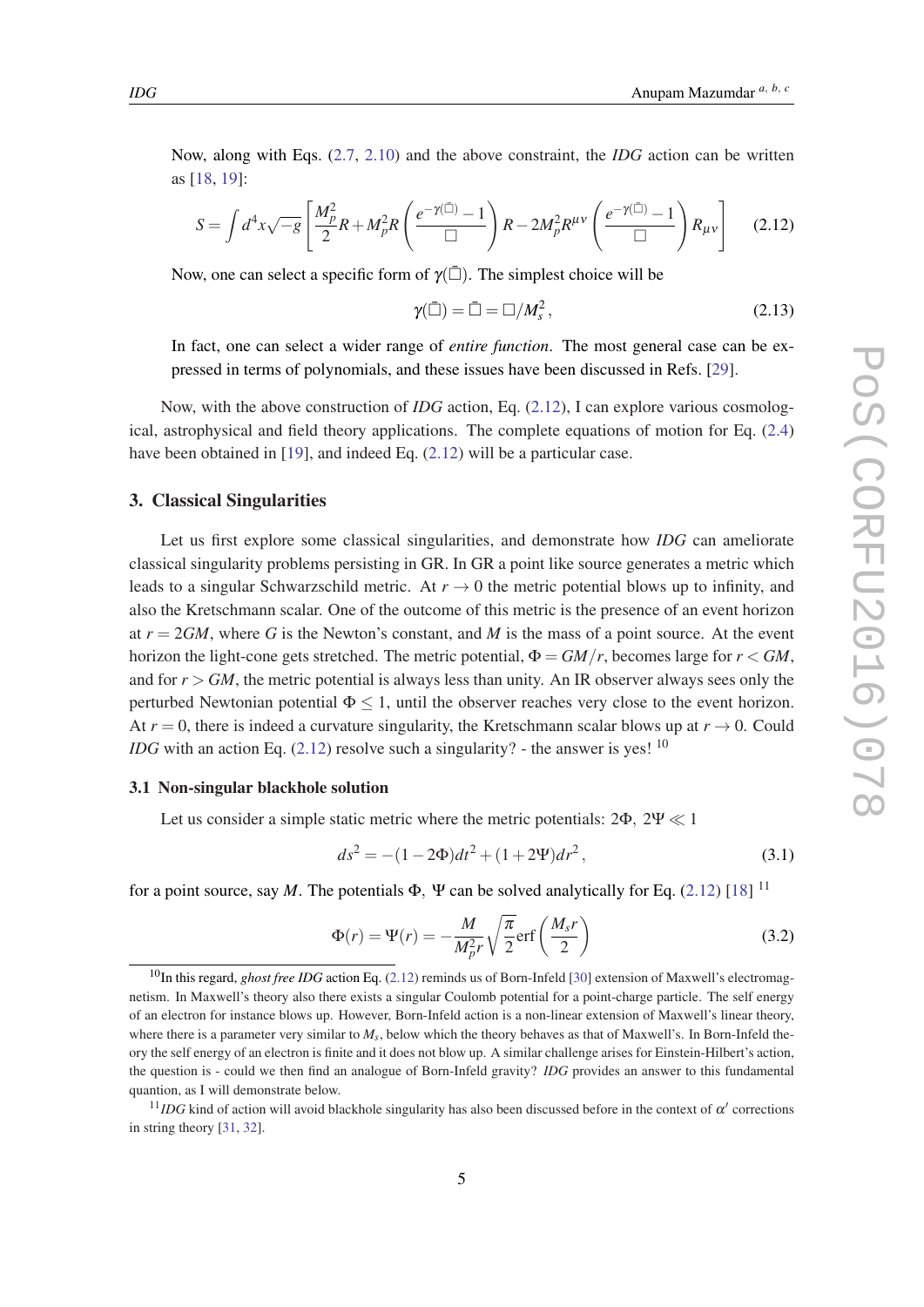<span id="page-5-0"></span>Now, along with Eqs. [\(2.7,](#page-4-0) [2.10](#page-4-0)) and the above constraint, the *IDG* action can be written as [[18,](#page-13-0) [19](#page-13-0)]:

$$
S = \int d^4x \sqrt{-g} \left[ \frac{M_p^2}{2} R + M_p^2 R \left( \frac{e^{-\gamma(\bar{\square})} - 1}{\Box} \right) R - 2M_p^2 R^{\mu\nu} \left( \frac{e^{-\gamma(\bar{\square})} - 1}{\Box} \right) R_{\mu\nu} \right] \tag{2.12}
$$

Now, one can select a specific form of  $\gamma(\bar{\Box})$ . The simplest choice will be

$$
\gamma(\bar{\Box}) = \bar{\Box} = \Box / M_s^2, \qquad (2.13)
$$

In fact, one can select a wider range of *entire function*. The most general case can be expressed in terms of polynomials, and these issues have been discussed in Refs. [[29\]](#page-13-0).

Now, with the above construction of *IDG* action, Eq. (2.12), I can explore various cosmological, astrophysical and field theory applications. The complete equations of motion for Eq. ([2.4](#page-2-0)) have been obtained in [[19\]](#page-13-0), and indeed Eq. (2.12) will be a particular case.

## 3. Classical Singularities

Let us first explore some classical singularities, and demonstrate how *IDG* can ameliorate classical singularity problems persisting in GR. In GR a point like source generates a metric which leads to a singular Schwarzschild metric. At  $r \to 0$  the metric potential blows up to infinity, and also the Kretschmann scalar. One of the outcome of this metric is the presence of an event horizon at  $r = 2GM$ , where G is the Newton's constant, and M is the mass of a point source. At the event horizon the light-cone gets stretched. The metric potential,  $\Phi = GM/r$ , becomes large for  $r < GM$ , and for  $r > GM$ , the metric potential is always less than unity. An IR observer always sees only the perturbed Newtonian potential  $\Phi \leq 1$ , until the observer reaches very close to the event horizon. At  $r = 0$ , there is indeed a curvature singularity, the Kretschmann scalar blows up at  $r \to 0$ . Could *IDG* with an action Eq.  $(2.12)$  resolve such a singularity? - the answer is yes!  $10$ 

## 3.1 Non-singular blackhole solution

Let us consider a simple static metric where the metric potentials:  $2\Phi$ ,  $2\Psi \ll 1$ 

$$
ds^{2} = -(1 - 2\Phi)dt^{2} + (1 + 2\Psi)dr^{2},
$$
\n(3.1)

for a point source, say *M*. The potentials  $\Phi$ ,  $\Psi$  can be solved analytically for Eq. (2.12) [\[18](#page-13-0)] <sup>11</sup>

$$
\Phi(r) = \Psi(r) = -\frac{M}{M_p^2 r} \sqrt{\frac{\pi}{2}} erf\left(\frac{M_s r}{2}\right)
$$
\n(3.2)

<sup>&</sup>lt;sup>10</sup>In this regard, *ghost free IDG* action Eq. (2.12) reminds us of Born-Infeld [[30\]](#page-13-0) extension of Maxwell's electromagnetism. In Maxwell's theory also there exists a singular Coulomb potential for a point-charge particle. The self energy of an electron for instance blows up. However, Born-Infeld action is a non-linear extension of Maxwell's linear theory, where there is a parameter very similar to  $M_s$ , below which the theory behaves as that of Maxwell's. In Born-Infeld theory the self energy of an electron is finite and it does not blow up. A similar challenge arises for Einstein-Hilbert's action, the question is - could we then find an analogue of Born-Infeld gravity? *IDG* provides an answer to this fundamental quantion, as I will demonstrate below.

 $11$ *IDG* kind of action will avoid blackhole singularity has also been discussed before in the context of  $\alpha'$  corrections in string theory [\[31](#page-13-0), [32\]](#page-13-0).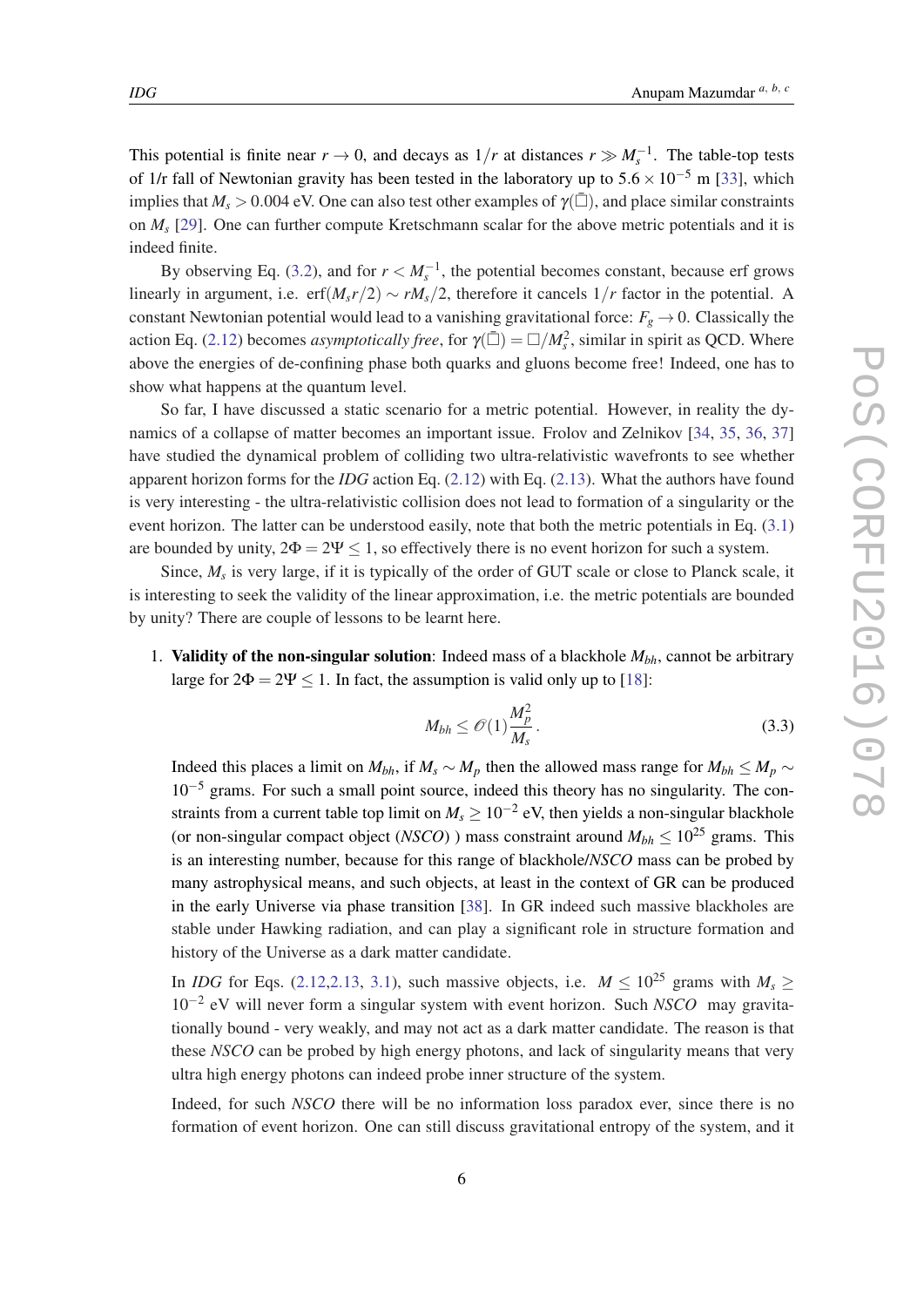This potential is finite near  $r \to 0$ , and decays as  $1/r$  at distances  $r \gg M_s^{-1}$ . The table-top tests of 1/r fall of Newtonian gravity has been tested in the laboratory up to  $5.6 \times 10^{-5}$  m [[33\]](#page-13-0), which implies that  $M_s > 0.004$  eV. One can also test other examples of  $\gamma(\bar{\Box})$ , and place similar constraints on *M<sup>s</sup>* [\[29](#page-13-0)]. One can further compute Kretschmann scalar for the above metric potentials and it is indeed finite.

By observing Eq. ([3.2](#page-5-0)), and for  $r < M_s^{-1}$ , the potential becomes constant, because erf grows linearly in argument, i.e. erf $(M_s r/2) \sim r M_s/2$ , therefore it cancels  $1/r$  factor in the potential. A constant Newtonian potential would lead to a vanishing gravitational force:  $F_g \rightarrow 0$ . Classically the action Eq. ([2.12](#page-5-0)) becomes *asymptotically free*, for  $\gamma(\bar{\Box}) = \Box/M_s^2$ , similar in spirit as QCD. Where above the energies of de-confining phase both quarks and gluons become free! Indeed, one has to show what happens at the quantum level.

So far, I have discussed a static scenario for a metric potential. However, in reality the dynamics of a collapse of matter becomes an important issue. Frolov and Zelnikov [[34,](#page-14-0) [35,](#page-14-0) [36](#page-14-0), [37](#page-14-0)] have studied the dynamical problem of colliding two ultra-relativistic wavefronts to see whether apparent horizon forms for the *IDG* action Eq. [\(2.12](#page-5-0)) with Eq. [\(2.13\)](#page-5-0). What the authors have found is very interesting - the ultra-relativistic collision does not lead to formation of a singularity or the event horizon. The latter can be understood easily, note that both the metric potentials in Eq. ([3.1](#page-5-0)) are bounded by unity,  $2\Phi = 2\Psi \le 1$ , so effectively there is no event horizon for such a system.

Since,  $M_s$  is very large, if it is typically of the order of GUT scale or close to Planck scale, it is interesting to seek the validity of the linear approximation, i.e. the metric potentials are bounded by unity? There are couple of lessons to be learnt here.

1. Validity of the non-singular solution: Indeed mass of a blackhole *Mbh*, cannot be arbitrary large for  $2\Phi = 2\Psi \le 1$ . In fact, the assumption is valid only up to [\[18](#page-13-0)]:

$$
M_{bh} \le \mathcal{O}(1) \frac{M_p^2}{M_s} \,. \tag{3.3}
$$

Indeed this places a limit on  $M_{bh}$ , if  $M_s \sim M_p$  then the allowed mass range for  $M_{bh} \leq M_p \sim$ 10−<sup>5</sup> grams. For such a small point source, indeed this theory has no singularity. The constraints from a current table top limit on  $M_s \geq 10^{-2}$  eV, then yields a non-singular blackhole (or non-singular compact object (*NSCO*) ) mass constraint around  $M_{bh} \leq 10^{25}$  grams. This is an interesting number, because for this range of blackhole/*NSCO* mass can be probed by many astrophysical means, and such objects, at least in the context of GR can be produced in the early Universe via phase transition [\[38](#page-14-0)]. In GR indeed such massive blackholes are stable under Hawking radiation, and can play a significant role in structure formation and history of the Universe as a dark matter candidate.

In *IDG* for Eqs. ([2.12](#page-5-0),[2.13,](#page-5-0) [3.1](#page-5-0)), such massive objects, i.e.  $M \le 10^{25}$  grams with  $M_s \ge$ 10−<sup>2</sup> eV will never form a singular system with event horizon. Such *NSCO* may gravitationally bound - very weakly, and may not act as a dark matter candidate. The reason is that these *NSCO* can be probed by high energy photons, and lack of singularity means that very ultra high energy photons can indeed probe inner structure of the system.

Indeed, for such *NSCO* there will be no information loss paradox ever, since there is no formation of event horizon. One can still discuss gravitational entropy of the system, and it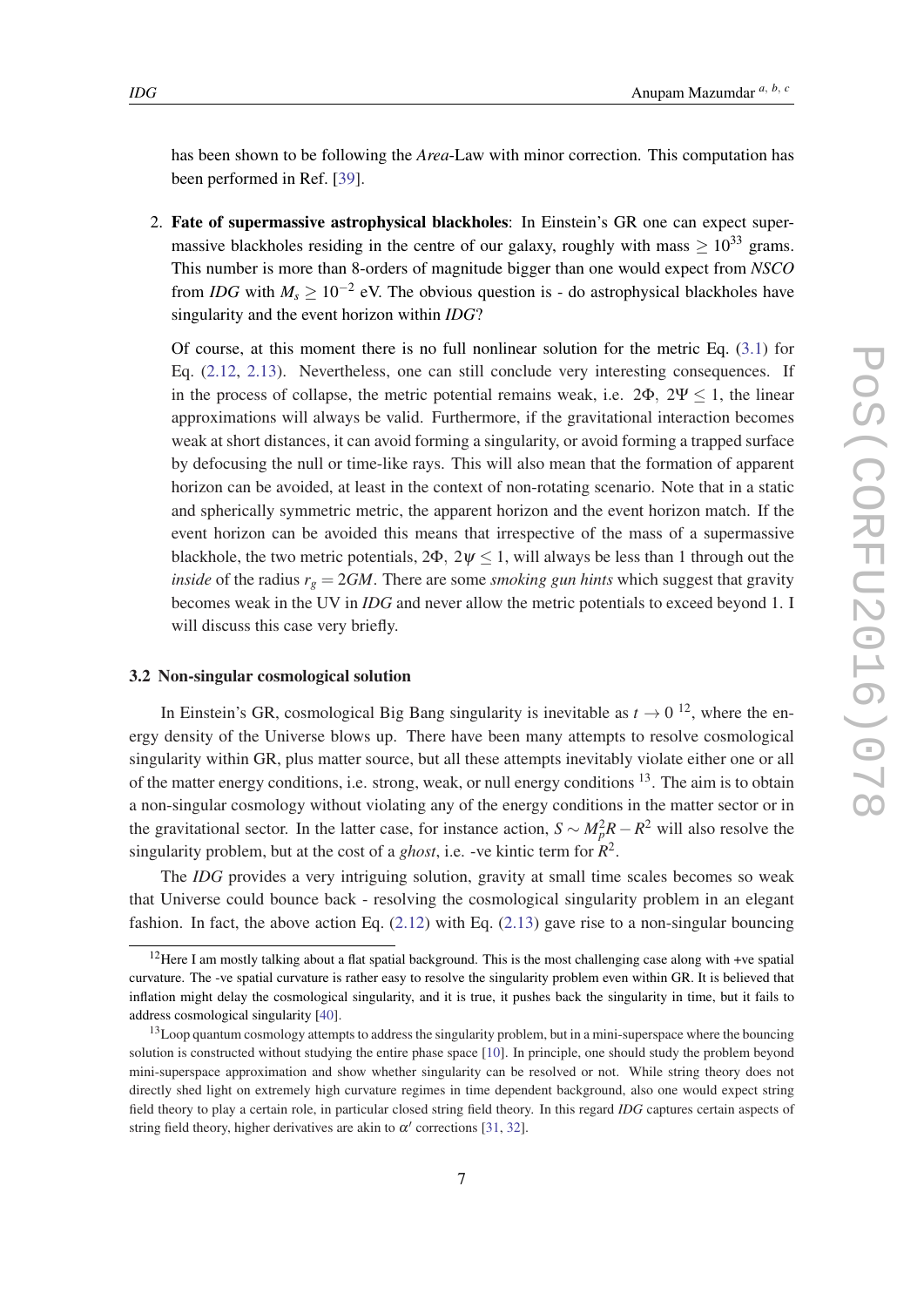has been shown to be following the *Area*-Law with minor correction. This computation has been performed in Ref. [[39\]](#page-14-0).

2. Fate of supermassive astrophysical blackholes: In Einstein's GR one can expect supermassive blackholes residing in the centre of our galaxy, roughly with mass  $\geq 10^{33}$  grams. This number is more than 8-orders of magnitude bigger than one would expect from *NSCO* from *IDG* with  $M_s \ge 10^{-2}$  eV. The obvious question is - do astrophysical blackholes have singularity and the event horizon within *IDG*?

Of course, at this moment there is no full nonlinear solution for the metric Eq. ([3.1\)](#page-5-0) for Eq. [\(2.12](#page-5-0), [2.13](#page-5-0)). Nevertheless, one can still conclude very interesting consequences. If in the process of collapse, the metric potential remains weak, i.e.  $2\Phi$ ,  $2\Psi \le 1$ , the linear approximations will always be valid. Furthermore, if the gravitational interaction becomes weak at short distances, it can avoid forming a singularity, or avoid forming a trapped surface by defocusing the null or time-like rays. This will also mean that the formation of apparent horizon can be avoided, at least in the context of non-rotating scenario. Note that in a static and spherically symmetric metric, the apparent horizon and the event horizon match. If the event horizon can be avoided this means that irrespective of the mass of a supermassive blackhole, the two metric potentials,  $2\Phi$ ,  $2\psi \le 1$ , will always be less than 1 through out the *inside* of the radius  $r_g = 2GM$ . There are some *smoking gun hints* which suggest that gravity becomes weak in the UV in *IDG* and never allow the metric potentials to exceed beyond 1. I will discuss this case very briefly.

## 3.2 Non-singular cosmological solution

In Einstein's GR, cosmological Big Bang singularity is inevitable as  $t \to 0^{-12}$ , where the energy density of the Universe blows up. There have been many attempts to resolve cosmological singularity within GR, plus matter source, but all these attempts inevitably violate either one or all of the matter energy conditions, i.e. strong, weak, or null energy conditions <sup>13</sup>. The aim is to obtain a non-singular cosmology without violating any of the energy conditions in the matter sector or in the gravitational sector. In the latter case, for instance action,  $S \sim M_p^2 R - R^2$  will also resolve the singularity problem, but at the cost of a *ghost*, i.e. -ve kintic term for *R* 2 .

The *IDG* provides a very intriguing solution, gravity at small time scales becomes so weak that Universe could bounce back - resolving the cosmological singularity problem in an elegant fashion. In fact, the above action Eq. ([2.12\)](#page-5-0) with Eq. ([2.13\)](#page-5-0) gave rise to a non-singular bouncing

<sup>12</sup>Here I am mostly talking about a flat spatial background. This is the most challenging case along with +ve spatial curvature. The -ve spatial curvature is rather easy to resolve the singularity problem even within GR. It is believed that inflation might delay the cosmological singularity, and it is true, it pushes back the singularity in time, but it fails to address cosmological singularity [\[40](#page-14-0)].

<sup>&</sup>lt;sup>13</sup>Loop quantum cosmology attempts to address the singularity problem, but in a mini-superspace where the bouncing solution is constructed without studying the entire phase space [\[10](#page-13-0)]. In principle, one should study the problem beyond mini-superspace approximation and show whether singularity can be resolved or not. While string theory does not directly shed light on extremely high curvature regimes in time dependent background, also one would expect string field theory to play a certain role, in particular closed string field theory. In this regard *IDG* captures certain aspects of string field theory, higher derivatives are akin to  $\alpha'$  corrections [\[31](#page-13-0), [32\]](#page-13-0).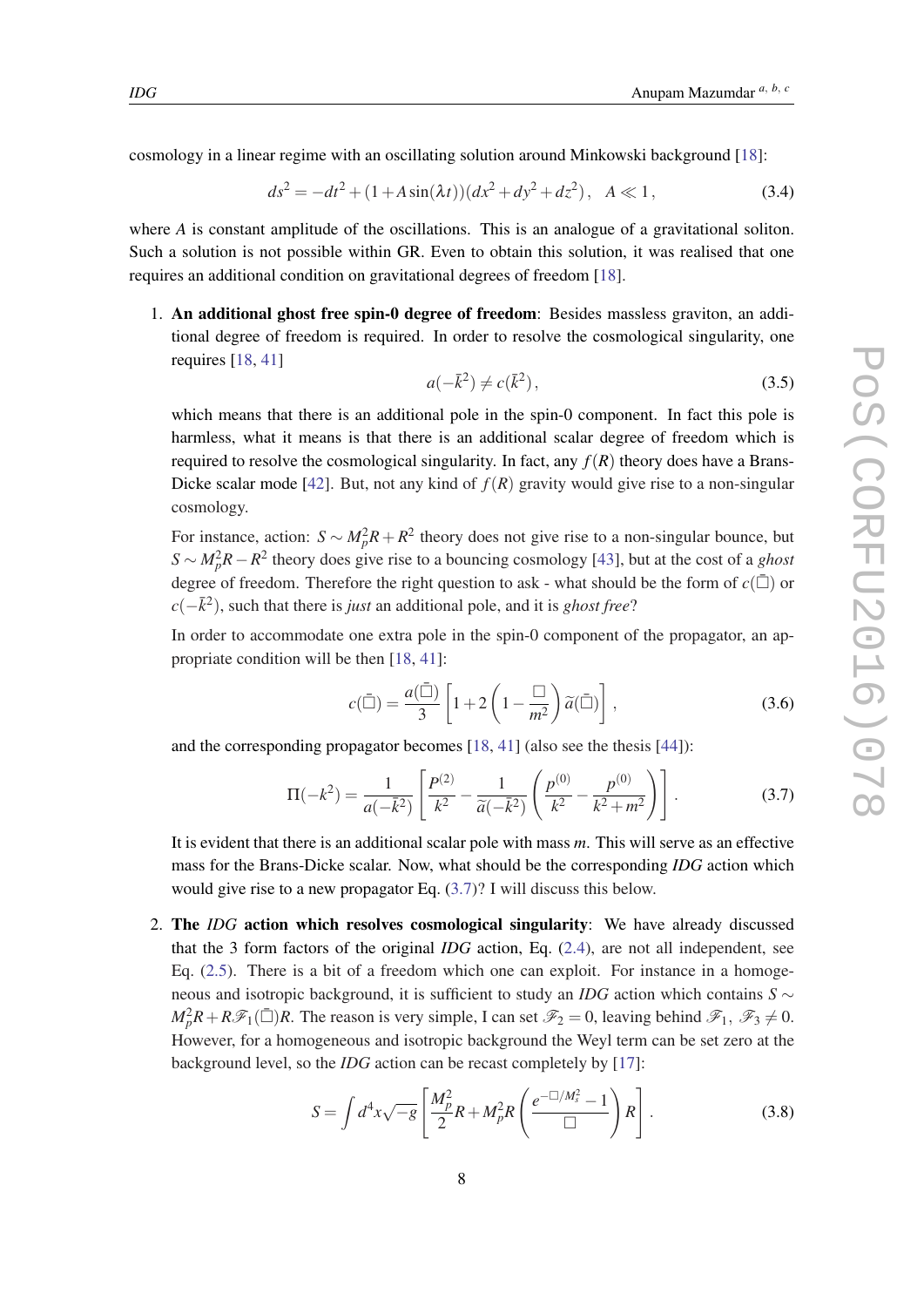<span id="page-8-0"></span>cosmology in a linear regime with an oscillating solution around Minkowski background [\[18](#page-13-0)]:

$$
ds^{2} = -dt^{2} + (1 + A\sin(\lambda t))(dx^{2} + dy^{2} + dz^{2}), \quad A \ll 1,
$$
\n(3.4)

where *A* is constant amplitude of the oscillations. This is an analogue of a gravitational soliton. Such a solution is not possible within GR. Even to obtain this solution, it was realised that one requires an additional condition on gravitational degrees of freedom [\[18](#page-13-0)].

1. An additional ghost free spin-0 degree of freedom: Besides massless graviton, an additional degree of freedom is required. In order to resolve the cosmological singularity, one requires [[18,](#page-13-0) [41](#page-14-0)]

$$
a(-\bar{k}^2) \neq c(\bar{k}^2),\tag{3.5}
$$

which means that there is an additional pole in the spin-0 component. In fact this pole is harmless, what it means is that there is an additional scalar degree of freedom which is required to resolve the cosmological singularity. In fact, any  $f(R)$  theory does have a Brans-Dicke scalar mode [\[42](#page-14-0)]. But, not any kind of  $f(R)$  gravity would give rise to a non-singular cosmology.

For instance, action:  $S \sim M_p^2 R + R^2$  theory does not give rise to a non-singular bounce, but *S* ∼ *M*<sub>*p*</sub><sup>2</sup>*R* − *R*<sup>2</sup> theory does give rise to a bouncing cosmology [\[43](#page-14-0)], but at the cost of a *ghost* degree of freedom. Therefore the right question to ask - what should be the form of  $c(\bar{\Box})$  or  $c(-\bar{k}^2)$ , such that there is *just* an additional pole, and it is *ghost free*?

In order to accommodate one extra pole in the spin-0 component of the propagator, an appropriate condition will be then [\[18](#page-13-0), [41\]](#page-14-0):

$$
c(\bar{\Box}) = \frac{a(\bar{\Box})}{3} \left[ 1 + 2 \left( 1 - \frac{\Box}{m^2} \right) \tilde{a}(\bar{\Box}) \right],
$$
 (3.6)

and the corresponding propagator becomes [[18,](#page-13-0) [41\]](#page-14-0) (also see the thesis [\[44\]](#page-14-0)):

$$
\Pi(-k^2) = \frac{1}{a(-\bar{k}^2)} \left[ \frac{P^{(2)}}{k^2} - \frac{1}{\tilde{a}(-\bar{k}^2)} \left( \frac{p^{(0)}}{k^2} - \frac{p^{(0)}}{k^2 + m^2} \right) \right].
$$
 (3.7)

It is evident that there is an additional scalar pole with mass *m*. This will serve as an effective mass for the Brans-Dicke scalar. Now, what should be the corresponding *IDG* action which would give rise to a new propagator Eq. (3.7)? I will discuss this below.

2. The *IDG* action which resolves cosmological singularity: We have already discussed that the 3 form factors of the original *IDG* action, Eq. ([2.4](#page-2-0)), are not all independent, see Eq. ([2.5](#page-3-0)). There is a bit of a freedom which one can exploit. For instance in a homogeneous and isotropic background, it is sufficient to study an *IDG* action which contains *S* ∼  $M_p^2 R + R\mathscr{F}_1(\bar{\Box})R$ . The reason is very simple, I can set  $\mathscr{F}_2 = 0$ , leaving behind  $\mathscr{F}_1$ ,  $\mathscr{F}_3 \neq 0$ . However, for a homogeneous and isotropic background the Weyl term can be set zero at the background level, so the *IDG* action can be recast completely by [\[17](#page-13-0)]:

$$
S = \int d^4x \sqrt{-g} \left[ \frac{M_p^2}{2} R + M_p^2 R \left( \frac{e^{-\Box/M_s^2} - 1}{\Box} \right) R \right].
$$
 (3.8)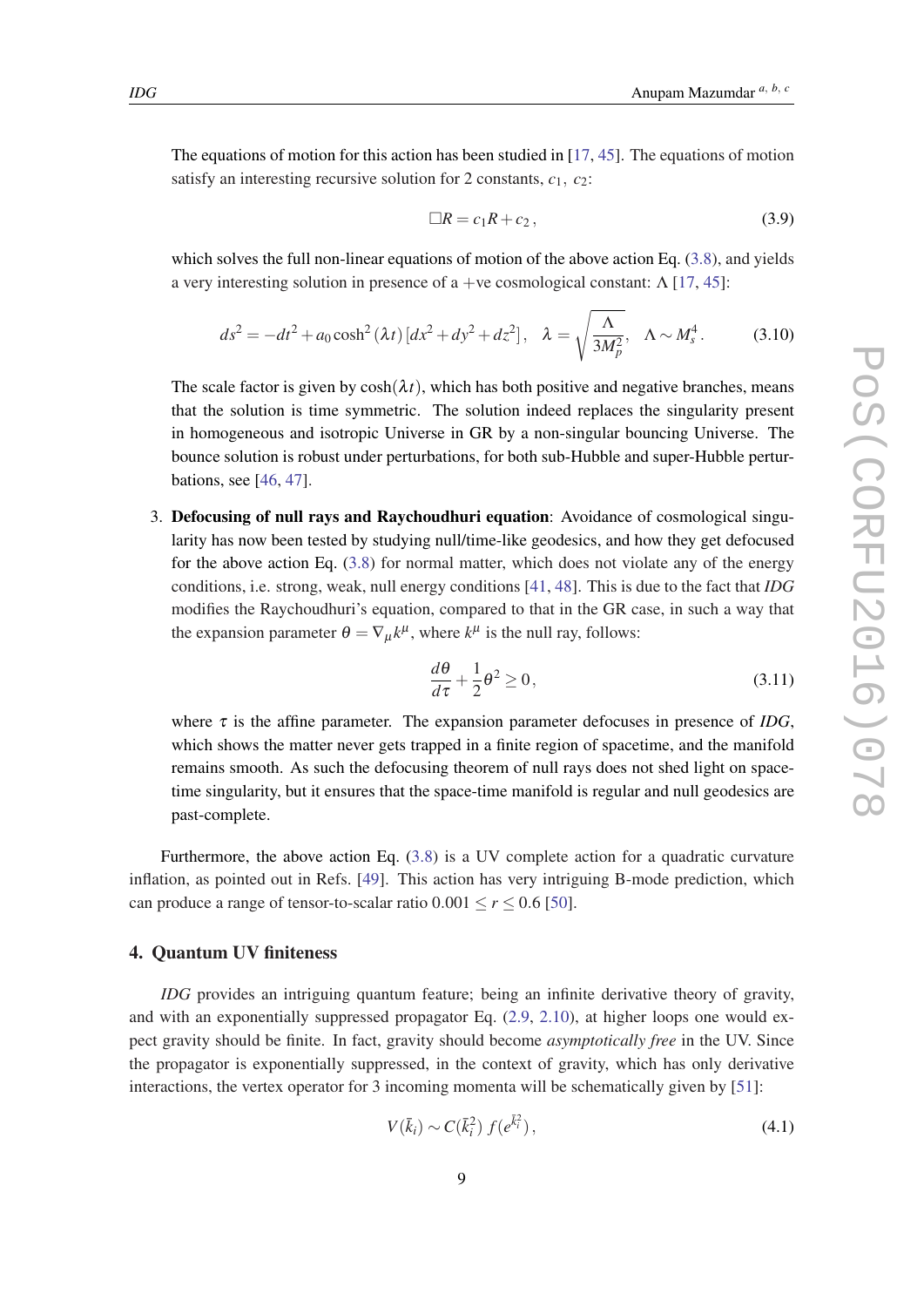The equations of motion for this action has been studied in [\[17](#page-13-0), [45](#page-14-0)]. The equations of motion satisfy an interesting recursive solution for 2 constants,  $c_1$ ,  $c_2$ :

$$
\Box R = c_1 R + c_2, \qquad (3.9)
$$

which solves the full non-linear equations of motion of the above action Eq. [\(3.8\)](#page-8-0), and yields a very interesting solution in presence of a +ve cosmological constant:  $\Lambda$  [[17,](#page-13-0) [45](#page-14-0)]:

$$
ds^{2} = -dt^{2} + a_{0}\cosh^{2}{(\lambda t)} \left[ dx^{2} + dy^{2} + dz^{2} \right], \quad \lambda = \sqrt{\frac{\Lambda}{3M_{p}^{2}}}, \quad \Lambda \sim M_{s}^{4}.
$$
 (3.10)

The scale factor is given by  $cosh(\lambda t)$ , which has both positive and negative branches, means that the solution is time symmetric. The solution indeed replaces the singularity present in homogeneous and isotropic Universe in GR by a non-singular bouncing Universe. The bounce solution is robust under perturbations, for both sub-Hubble and super-Hubble perturbations, see [[46,](#page-14-0) [47\]](#page-14-0).

3. Defocusing of null rays and Raychoudhuri equation: Avoidance of cosmological singularity has now been tested by studying null/time-like geodesics, and how they get defocused for the above action Eq.  $(3.8)$  $(3.8)$  $(3.8)$  for normal matter, which does not violate any of the energy conditions, i.e. strong, weak, null energy conditions [[41,](#page-14-0) [48\]](#page-14-0). This is due to the fact that *IDG* modifies the Raychoudhuri's equation, compared to that in the GR case, in such a way that the expansion parameter  $\theta = \nabla_{\mu} k^{\mu}$ , where  $k^{\mu}$  is the null ray, follows:

$$
\frac{d\theta}{d\tau} + \frac{1}{2}\theta^2 \ge 0,\tag{3.11}
$$

where  $\tau$  is the affine parameter. The expansion parameter defocuses in presence of *IDG*, which shows the matter never gets trapped in a finite region of spacetime, and the manifold remains smooth. As such the defocusing theorem of null rays does not shed light on spacetime singularity, but it ensures that the space-time manifold is regular and null geodesics are past-complete.

Furthermore, the above action Eq. [\(3.8\)](#page-8-0) is a UV complete action for a quadratic curvature inflation, as pointed out in Refs. [[49\]](#page-14-0). This action has very intriguing B-mode prediction, which can produce a range of tensor-to-scalar ratio  $0.001 \le r \le 0.6$  [[50\]](#page-14-0).

## 4. Quantum UV finiteness

*IDG* provides an intriguing quantum feature; being an infinite derivative theory of gravity, and with an exponentially suppressed propagator Eq. ([2.9](#page-4-0), [2.10\)](#page-4-0), at higher loops one would expect gravity should be finite. In fact, gravity should become *asymptotically free* in the UV. Since the propagator is exponentially suppressed, in the context of gravity, which has only derivative interactions, the vertex operator for 3 incoming momenta will be schematically given by [[51\]](#page-14-0):

$$
V(\bar{k}_i) \sim C(\bar{k}_i^2) f(e^{\bar{k}_i^2}), \qquad (4.1)
$$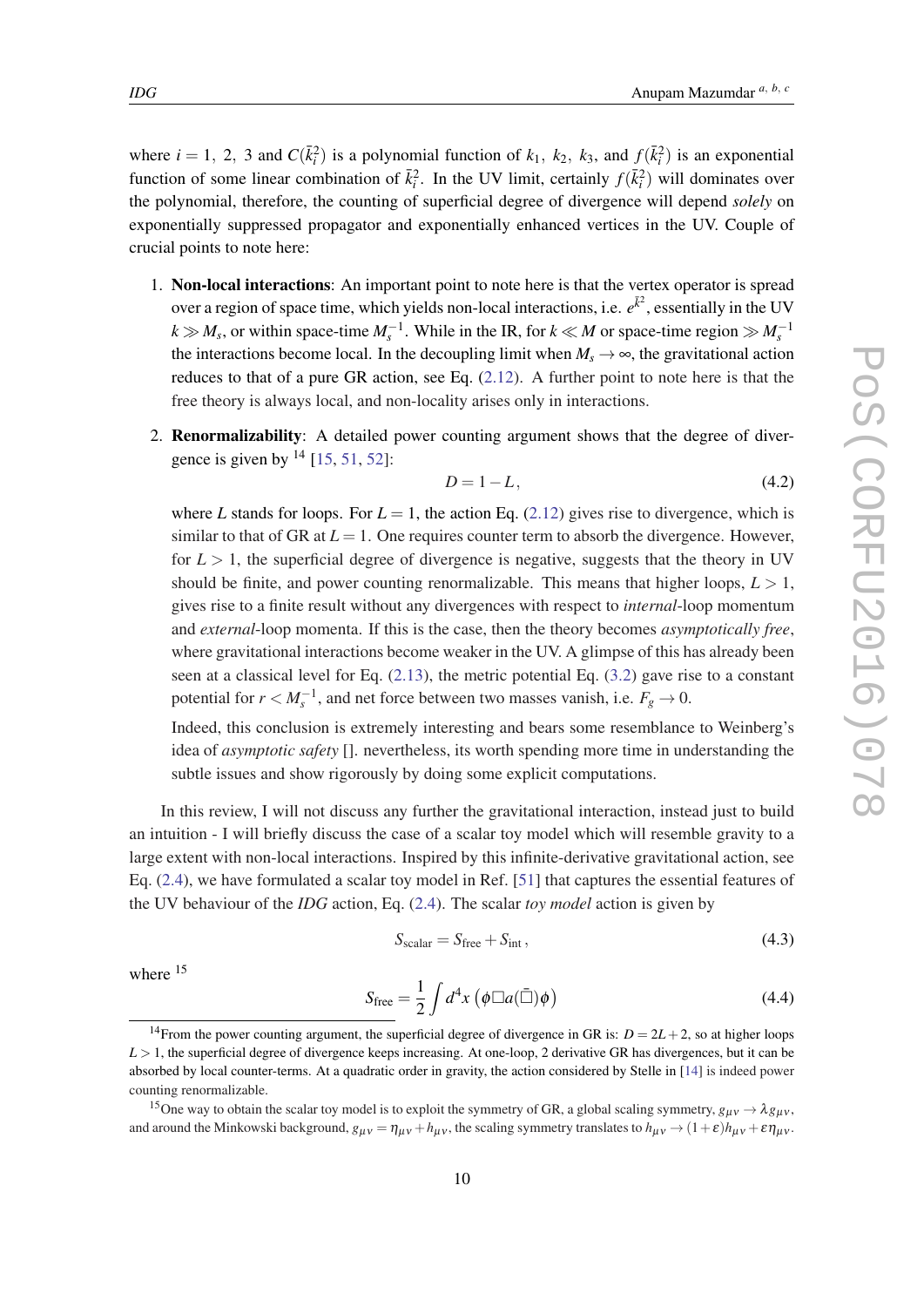<span id="page-10-0"></span>where  $i = 1, 2, 3$  and  $C(\bar{k}_i^2)$  is a polynomial function of  $k_1, k_2, k_3$ , and  $f(\bar{k}_i^2)$  is an exponential function of some linear combination of  $\bar{k}_i^2$ . In the UV limit, certainly  $f(\bar{k}_i^2)$  will dominates over the polynomial, therefore, the counting of superficial degree of divergence will depend *solely* on exponentially suppressed propagator and exponentially enhanced vertices in the UV. Couple of crucial points to note here:

- 1. Non-local interactions: An important point to note here is that the vertex operator is spread over a region of space time, which yields non-local interactions, i.e.  $e^{\bar{k}^2}$ , essentially in the UV  $k \gg M_s$ , or within space-time  $M_s^{-1}$ . While in the IR, for  $k \ll M$  or space-time region  $\gg M_s^{-1}$ the interactions become local. In the decoupling limit when  $M_s \to \infty$ , the gravitational action reduces to that of a pure GR action, see Eq. [\(2.12](#page-5-0)). A further point to note here is that the free theory is always local, and non-locality arises only in interactions.
- 2. Renormalizability: A detailed power counting argument shows that the degree of divergence is given by  $^{14}$  [[15,](#page-13-0) [51,](#page-14-0) [52](#page-14-0)]:

$$
D = 1 - L,\tag{4.2}
$$

where *L* stands for loops. For  $L = 1$ , the action Eq. ([2.12](#page-5-0)) gives rise to divergence, which is similar to that of GR at  $L = 1$ . One requires counter term to absorb the divergence. However, for  $L > 1$ , the superficial degree of divergence is negative, suggests that the theory in UV should be finite, and power counting renormalizable. This means that higher loops,  $L > 1$ , gives rise to a finite result without any divergences with respect to *internal*-loop momentum and *external*-loop momenta. If this is the case, then the theory becomes *asymptotically free*, where gravitational interactions become weaker in the UV. A glimpse of this has already been seen at a classical level for Eq.  $(2.13)$  $(2.13)$ , the metric potential Eq.  $(3.2)$  gave rise to a constant potential for  $r < M_s^{-1}$ , and net force between two masses vanish, i.e.  $F_g \to 0$ .

Indeed, this conclusion is extremely interesting and bears some resemblance to Weinberg's idea of *asymptotic safety* []. nevertheless, its worth spending more time in understanding the subtle issues and show rigorously by doing some explicit computations.

In this review, I will not discuss any further the gravitational interaction, instead just to build an intuition - I will briefly discuss the case of a scalar toy model which will resemble gravity to a large extent with non-local interactions. Inspired by this infinite-derivative gravitational action, see Eq. [\(2.4](#page-2-0)), we have formulated a scalar toy model in Ref. [\[51](#page-14-0)] that captures the essential features of the UV behaviour of the *IDG* action, Eq. [\(2.4\)](#page-2-0). The scalar *toy model* action is given by

$$
S_{\text{scalar}} = S_{\text{free}} + S_{\text{int}},\tag{4.3}
$$

where <sup>15</sup>

$$
S_{\text{free}} = \frac{1}{2} \int d^4x \left( \phi \Box a (\bar{\Box}) \phi \right) \tag{4.4}
$$

<sup>&</sup>lt;sup>14</sup>From the power counting argument, the superficial degree of divergence in GR is:  $D = 2L + 2$ , so at higher loops  $L > 1$ , the superficial degree of divergence keeps increasing. At one-loop, 2 derivative GR has divergences, but it can be absorbed by local counter-terms. At a quadratic order in gravity, the action considered by Stelle in [\[14](#page-13-0)] is indeed power counting renormalizable.

<sup>&</sup>lt;sup>15</sup>One way to obtain the scalar toy model is to exploit the symmetry of GR, a global scaling symmetry,  $g_{\mu\nu} \to \lambda g_{\mu\nu}$ , and around the Minkowski background,  $g_{\mu\nu} = \eta_{\mu\nu} + h_{\mu\nu}$ , the scaling symmetry translates to  $h_{\mu\nu} \to (1+\varepsilon)h_{\mu\nu} + \varepsilon \eta_{\mu\nu}$ .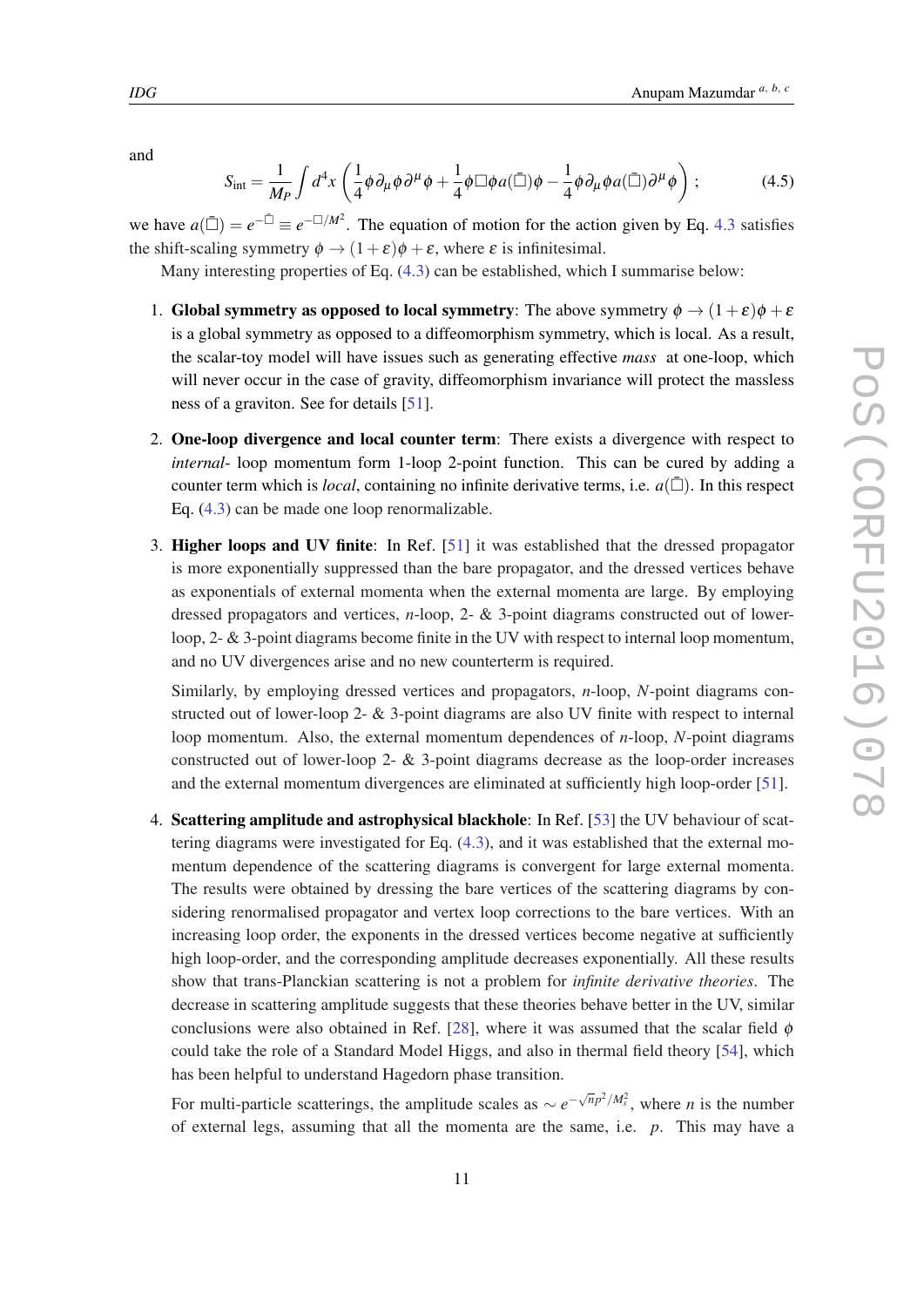$$
S_{\rm int} = \frac{1}{M_P} \int d^4x \left( \frac{1}{4} \phi \partial_\mu \phi \partial^\mu \phi + \frac{1}{4} \phi \Box \phi a(\bar{\Box}) \phi - \frac{1}{4} \phi \partial_\mu \phi a(\bar{\Box}) \partial^\mu \phi \right); \tag{4.5}
$$

we have  $a(\bar{\Box}) = e^{-\bar{\Box}} \equiv e^{-\Box/M^2}$ . The equation of motion for the action given by Eq. [4.3](#page-10-0) satisfies the shift-scaling symmetry  $\phi \rightarrow (1+\varepsilon)\phi + \varepsilon$ , where  $\varepsilon$  is infinitesimal.

Many interesting properties of Eq. ([4.3](#page-10-0)) can be established, which I summarise below:

- 1. Global symmetry as opposed to local symmetry: The above symmetry  $\phi \rightarrow (1+\varepsilon)\phi + \varepsilon$ is a global symmetry as opposed to a diffeomorphism symmetry, which is local. As a result, the scalar-toy model will have issues such as generating effective *mass* at one-loop, which will never occur in the case of gravity, diffeomorphism invariance will protect the massless ness of a graviton. See for details [\[51](#page-14-0)].
- 2. One-loop divergence and local counter term: There exists a divergence with respect to *internal*- loop momentum form 1-loop 2-point function. This can be cured by adding a counter term which is *local*, containing no infinite derivative terms, i.e.  $a(\bar{\Box})$ . In this respect Eq. ([4.3](#page-10-0)) can be made one loop renormalizable.
- 3. Higher loops and UV finite: In Ref. [\[51](#page-14-0)] it was established that the dressed propagator is more exponentially suppressed than the bare propagator, and the dressed vertices behave as exponentials of external momenta when the external momenta are large. By employing dressed propagators and vertices, *n*-loop, 2- & 3-point diagrams constructed out of lowerloop, 2- & 3-point diagrams become finite in the UV with respect to internal loop momentum, and no UV divergences arise and no new counterterm is required.

Similarly, by employing dressed vertices and propagators, *n*-loop, *N*-point diagrams constructed out of lower-loop 2- & 3-point diagrams are also UV finite with respect to internal loop momentum. Also, the external momentum dependences of *n*-loop, *N*-point diagrams constructed out of lower-loop 2- & 3-point diagrams decrease as the loop-order increases and the external momentum divergences are eliminated at sufficiently high loop-order [[51\]](#page-14-0).

4. Scattering amplitude and astrophysical blackhole: In Ref. [\[53](#page-14-0)] the UV behaviour of scattering diagrams were investigated for Eq. [\(4.3](#page-10-0)), and it was established that the external momentum dependence of the scattering diagrams is convergent for large external momenta. The results were obtained by dressing the bare vertices of the scattering diagrams by considering renormalised propagator and vertex loop corrections to the bare vertices. With an increasing loop order, the exponents in the dressed vertices become negative at sufficiently high loop-order, and the corresponding amplitude decreases exponentially. All these results show that trans-Planckian scattering is not a problem for *infinite derivative theories*. The decrease in scattering amplitude suggests that these theories behave better in the UV, similar conclusions were also obtained in Ref. [[28\]](#page-13-0), where it was assumed that the scalar field  $\phi$ could take the role of a Standard Model Higgs, and also in thermal field theory [[54\]](#page-14-0), which has been helpful to understand Hagedorn phase transition.

For multi-particle scatterings, the amplitude scales as  $\sim e^{-\sqrt{n}p^2/M_s^2}$ , where *n* is the number of external legs, assuming that all the momenta are the same, i.e. *p*. This may have a

and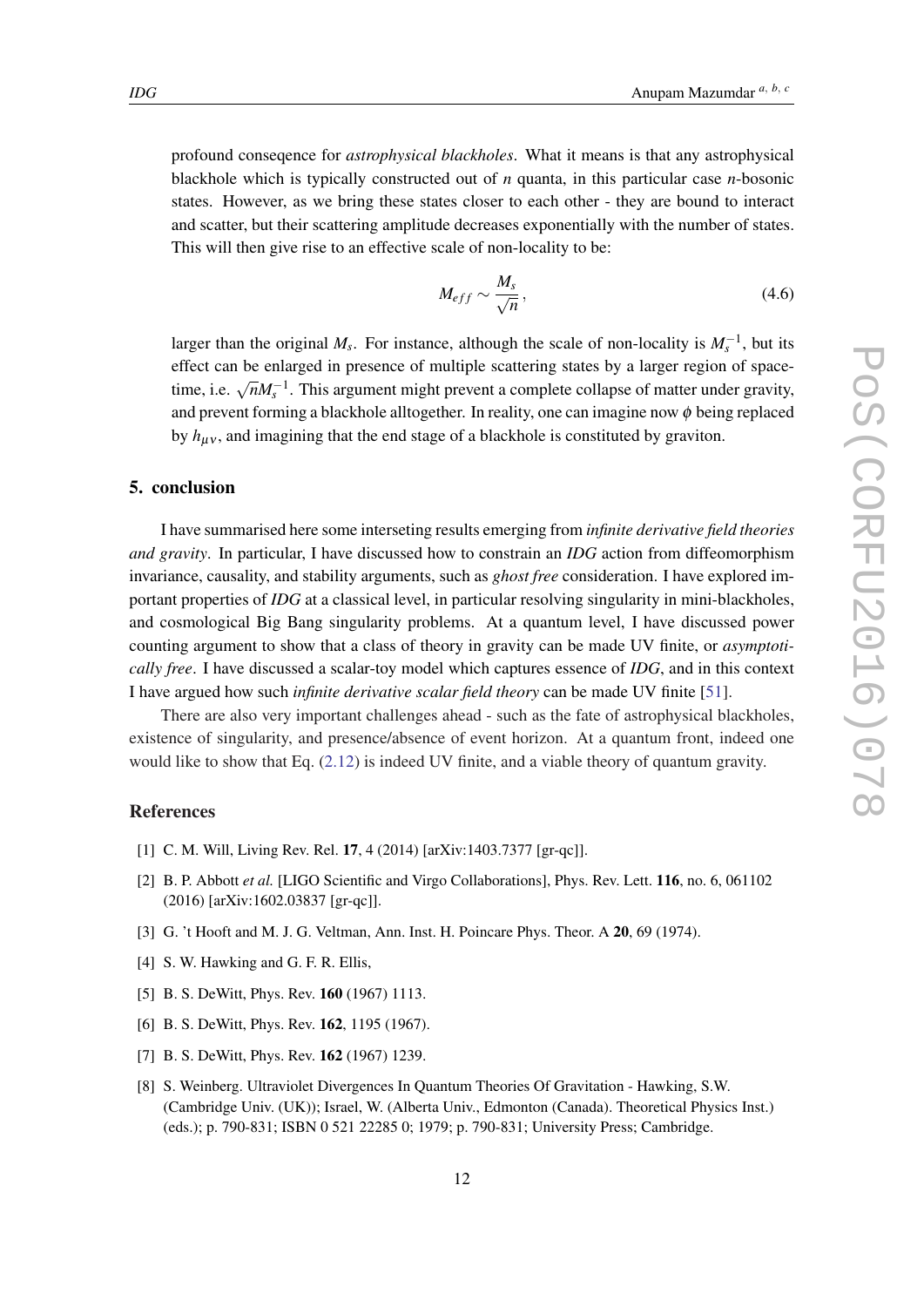<span id="page-12-0"></span>profound conseqence for *astrophysical blackholes*. What it means is that any astrophysical blackhole which is typically constructed out of *n* quanta, in this particular case *n*-bosonic states. However, as we bring these states closer to each other - they are bound to interact and scatter, but their scattering amplitude decreases exponentially with the number of states. This will then give rise to an effective scale of non-locality to be:

$$
M_{eff} \sim \frac{M_s}{\sqrt{n}},\tag{4.6}
$$

larger than the original  $M_s$ . For instance, although the scale of non-locality is  $M_s^{-1}$ , but its effect can be enlarged in presence of multiple scattering states by a larger region of spacetime, i.e.  $\sqrt{n}M_s^{-1}$ . This argument might prevent a complete collapse of matter under gravity, and prevent forming a blackhole alltogether. In reality, one can imagine now  $\phi$  being replaced by  $h_{\mu\nu}$ , and imagining that the end stage of a blackhole is constituted by graviton.

## 5. conclusion

I have summarised here some interseting results emerging from *infinite derivative field theories and gravity*. In particular, I have discussed how to constrain an *IDG* action from diffeomorphism invariance, causality, and stability arguments, such as *ghost free* consideration. I have explored important properties of *IDG* at a classical level, in particular resolving singularity in mini-blackholes, and cosmological Big Bang singularity problems. At a quantum level, I have discussed power counting argument to show that a class of theory in gravity can be made UV finite, or *asymptotically free*. I have discussed a scalar-toy model which captures essence of *IDG*, and in this context I have argued how such *infinite derivative scalar field theory* can be made UV finite [[51\]](#page-14-0).

There are also very important challenges ahead - such as the fate of astrophysical blackholes, existence of singularity, and presence/absence of event horizon. At a quantum front, indeed one would like to show that Eq. [\(2.12](#page-5-0)) is indeed UV finite, and a viable theory of quantum gravity.

## References

- [1] C. M. Will, Living Rev. Rel. 17, 4 (2014) [arXiv:1403.7377 [gr-qc]].
- [2] B. P. Abbott *et al.* [LIGO Scientific and Virgo Collaborations], Phys. Rev. Lett. 116, no. 6, 061102 (2016) [arXiv:1602.03837 [gr-qc]].
- [3] G. 't Hooft and M. J. G. Veltman, Ann. Inst. H. Poincare Phys. Theor. A 20, 69 (1974).
- [4] S. W. Hawking and G. F. R. Ellis,
- [5] B. S. DeWitt, Phys. Rev. **160** (1967) 1113.
- [6] B. S. DeWitt, Phys. Rev. **162**, 1195 (1967).
- [7] B. S. DeWitt, Phys. Rev. **162** (1967) 1239.
- [8] S. Weinberg. Ultraviolet Divergences In Quantum Theories Of Gravitation Hawking, S.W. (Cambridge Univ. (UK)); Israel, W. (Alberta Univ., Edmonton (Canada). Theoretical Physics Inst.) (eds.); p. 790-831; ISBN 0 521 22285 0; 1979; p. 790-831; University Press; Cambridge.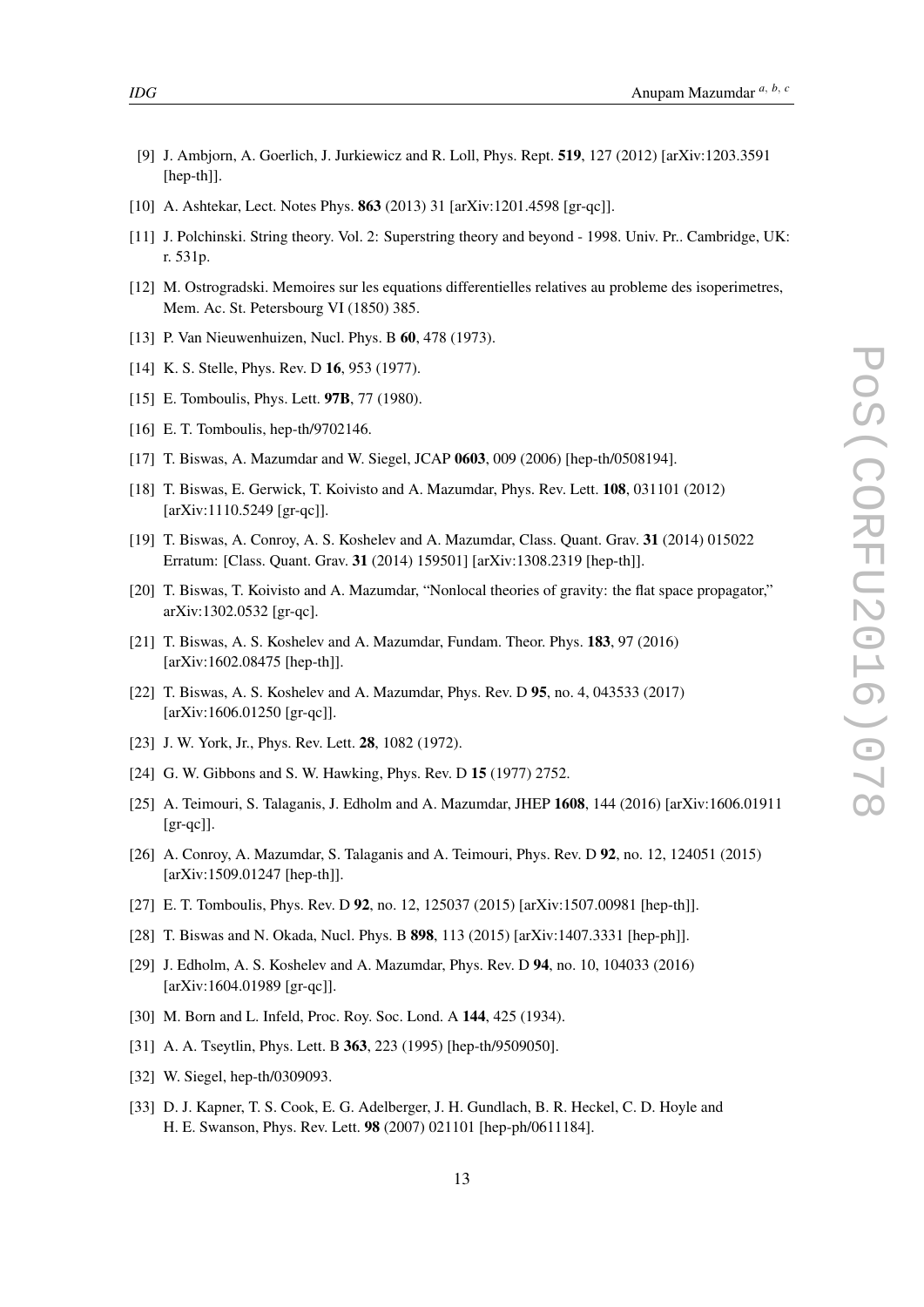- <span id="page-13-0"></span>[9] J. Ambjorn, A. Goerlich, J. Jurkiewicz and R. Loll, Phys. Rept. 519, 127 (2012) [arXiv:1203.3591 [hep-th]].
- [10] A. Ashtekar, Lect. Notes Phys. **863** (2013) 31 [arXiv:1201.4598 [gr-qc]].
- [11] J. Polchinski. String theory. Vol. 2: Superstring theory and beyond 1998. Univ. Pr.. Cambridge, UK: r. 531p.
- [12] M. Ostrogradski. Memoires sur les equations differentielles relatives au probleme des isoperimetres, Mem. Ac. St. Petersbourg VI (1850) 385.
- [13] P. Van Nieuwenhuizen, Nucl. Phys. B **60**, 478 (1973).
- [14] K. S. Stelle, Phys. Rev. D **16**, 953 (1977).
- [15] E. Tomboulis, Phys. Lett. **97B**, 77 (1980).
- [16] E. T. Tomboulis, hep-th/9702146.
- [17] T. Biswas, A. Mazumdar and W. Siegel, JCAP 0603, 009 (2006) [hep-th/0508194].
- [18] T. Biswas, E. Gerwick, T. Koivisto and A. Mazumdar, Phys. Rev. Lett. 108, 031101 (2012) [arXiv:1110.5249 [gr-qc]].
- [19] T. Biswas, A. Conroy, A. S. Koshelev and A. Mazumdar, Class. Quant. Grav. 31 (2014) 015022 Erratum: [Class. Quant. Grav. 31 (2014) 159501] [arXiv:1308.2319 [hep-th]].
- [20] T. Biswas, T. Koivisto and A. Mazumdar, "Nonlocal theories of gravity: the flat space propagator," arXiv:1302.0532 [gr-qc].
- [21] T. Biswas, A. S. Koshelev and A. Mazumdar, Fundam. Theor. Phys. 183, 97 (2016) [arXiv:1602.08475 [hep-th]].
- [22] T. Biswas, A. S. Koshelev and A. Mazumdar, Phys. Rev. D 95, no. 4, 043533 (2017) [arXiv:1606.01250 [gr-qc]].
- [23] J. W. York, Jr., Phys. Rev. Lett. **28**, 1082 (1972).
- [24] G. W. Gibbons and S. W. Hawking, Phys. Rev. D 15 (1977) 2752.
- [25] A. Teimouri, S. Talaganis, J. Edholm and A. Mazumdar, JHEP 1608, 144 (2016) [arXiv:1606.01911  $[gr-qc]$ ].
- [26] A. Conroy, A. Mazumdar, S. Talaganis and A. Teimouri, Phys. Rev. D 92, no. 12, 124051 (2015) [arXiv:1509.01247 [hep-th]].
- [27] E. T. Tomboulis, Phys. Rev. D 92, no. 12, 125037 (2015) [arXiv:1507.00981 [hep-th]].
- [28] T. Biswas and N. Okada, Nucl. Phys. B 898, 113 (2015) [arXiv:1407.3331 [hep-ph]].
- [29] J. Edholm, A. S. Koshelev and A. Mazumdar, Phys. Rev. D 94, no. 10, 104033 (2016) [arXiv:1604.01989 [gr-qc]].
- [30] M. Born and L. Infeld, Proc. Roy. Soc. Lond. A 144, 425 (1934).
- [31] A. A. Tseytlin, Phys. Lett. B 363, 223 (1995) [hep-th/9509050].
- [32] W. Siegel, hep-th/0309093.
- [33] D. J. Kapner, T. S. Cook, E. G. Adelberger, J. H. Gundlach, B. R. Heckel, C. D. Hoyle and H. E. Swanson, Phys. Rev. Lett. 98 (2007) 021101 [hep-ph/0611184].